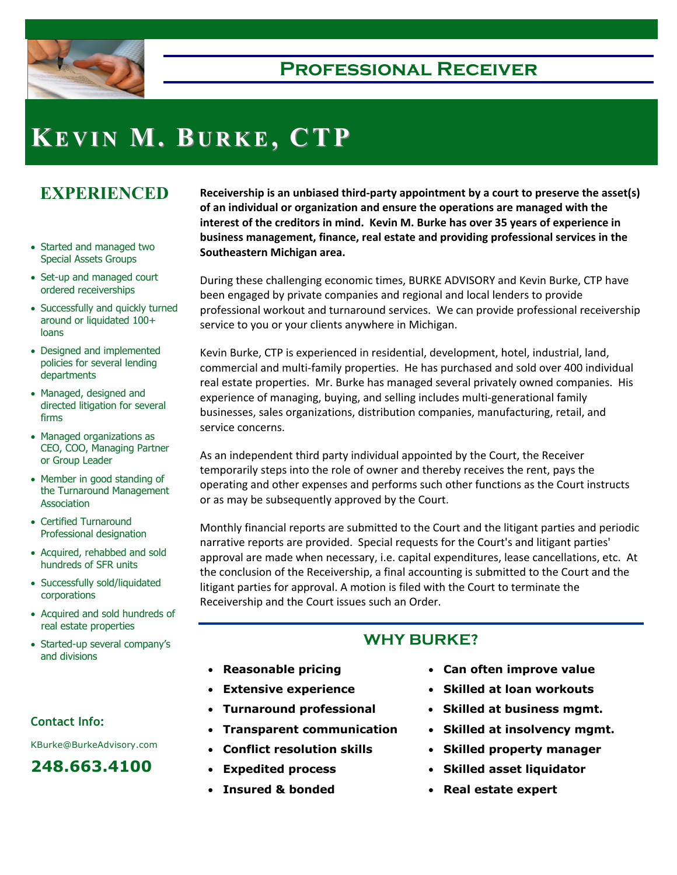

# **KE V I N M. B U R K E, CTP**

## **EXPERIENCED**

- Started and managed two Special Assets Groups
- Set-up and managed court ordered receiverships
- Successfully and quickly turned around or liquidated 100+ loans
- Designed and implemented policies for several lending departments
- Managed, designed and directed litigation for several firms
- Managed organizations as CEO, COO, Managing Partner or Group Leader
- Member in good standing of the Turnaround Management **Association**
- Certified Turnaround Professional designation
- Acquired, rehabbed and sold hundreds of SFR units
- Successfully sold/liquidated corporations
- Acquired and sold hundreds of real estate properties
- Started-up several company's and divisions

### **Contact Info:**

KBurke@BurkeAdvisory.com

### **248.663.4100**

**Receivership is an unbiased third-party appointment by a court to preserve the asset(s) of an individual or organization and ensure the operations are managed with the interest of the creditors in mind. Kevin M. Burke has over 35 years of experience in business management, finance, real estate and providing professional services in the Southeastern Michigan area.** 

During these challenging economic times, BURKE ADVISORY and Kevin Burke, CTP have been engaged by private companies and regional and local lenders to provide professional workout and turnaround services. We can provide professional receivership service to you or your clients anywhere in Michigan.

Kevin Burke, CTP is experienced in residential, development, hotel, industrial, land, commercial and multi-family properties. He has purchased and sold over 400 individual real estate properties. Mr. Burke has managed several privately owned companies. His experience of managing, buying, and selling includes multi-generational family businesses, sales organizations, distribution companies, manufacturing, retail, and service concerns.

As an independent third party individual appointed by the Court, the Receiver temporarily steps into the role of owner and thereby receives the rent, pays the operating and other expenses and performs such other functions as the Court instructs or as may be subsequently approved by the Court.

Monthly financial reports are submitted to the Court and the litigant parties and periodic narrative reports are provided. Special requests for the Court's and litigant parties' approval are made when necessary, i.e. capital expenditures, lease cancellations, etc. At the conclusion of the Receivership, a final accounting is submitted to the Court and the litigant parties for approval. A motion is filed with the Court to terminate the Receivership and the Court issues such an Order.

## **WHY BURKE?**

- **Reasonable pricing**
- **Extensive experience**
- **Turnaround professional**
- **Transparent communication**
- **Conflict resolution skills**
- **Expedited process**
- **Insured & bonded**
- **Can often improve value**
- **Skilled at loan workouts**
- **Skilled at business mgmt.**
- **Skilled at insolvency mgmt.**
- **Skilled property manager**
- **Skilled asset liquidator**
- **Real estate expert**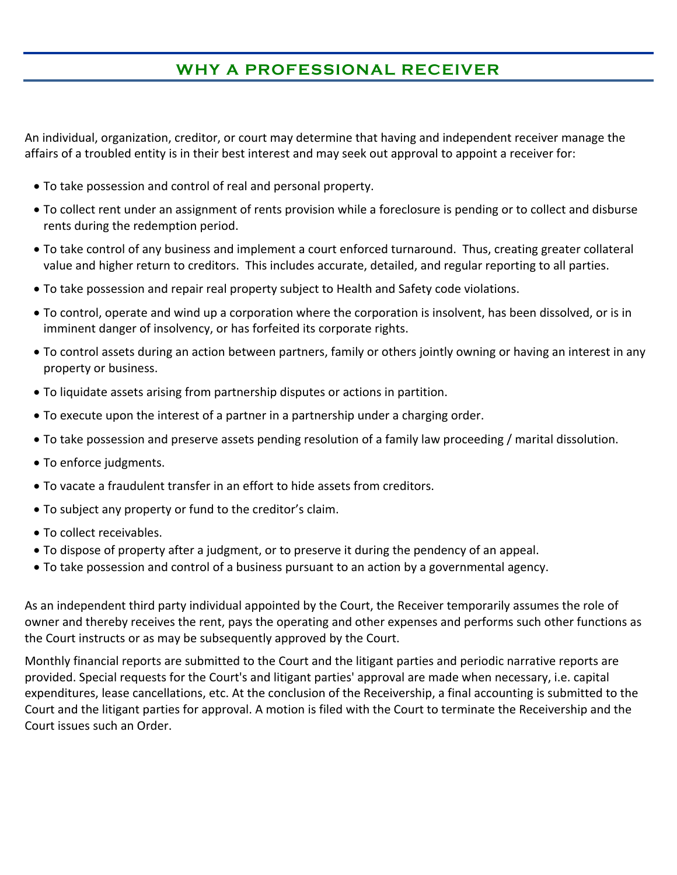## **WHY A PROFESSIONAL RECEIVER**

An individual, organization, creditor, or court may determine that having and independent receiver manage the affairs of a troubled entity is in their best interest and may seek out approval to appoint a receiver for:

- To take possession and control of real and personal property.
- To collect rent under an assignment of rents provision while a foreclosure is pending or to collect and disburse rents during the redemption period.
- To take control of any business and implement a court enforced turnaround. Thus, creating greater collateral value and higher return to creditors. This includes accurate, detailed, and regular reporting to all parties.
- To take possession and repair real property subject to Health and Safety code violations.
- To control, operate and wind up a corporation where the corporation is insolvent, has been dissolved, or is in imminent danger of insolvency, or has forfeited its corporate rights.
- To control assets during an action between partners, family or others jointly owning or having an interest in any property or business.
- To liquidate assets arising from partnership disputes or actions in partition.
- To execute upon the interest of a partner in a partnership under a charging order.
- To take possession and preserve assets pending resolution of a family law proceeding / marital dissolution.
- To enforce judgments.
- To vacate a fraudulent transfer in an effort to hide assets from creditors.
- To subject any property or fund to the creditor's claim.
- To collect receivables.
- To dispose of property after a judgment, or to preserve it during the pendency of an appeal.
- To take possession and control of a business pursuant to an action by a governmental agency.

As an independent third party individual appointed by the Court, the Receiver temporarily assumes the role of owner and thereby receives the rent, pays the operating and other expenses and performs such other functions as the Court instructs or as may be subsequently approved by the Court.

Monthly financial reports are submitted to the Court and the litigant parties and periodic narrative reports are provided. Special requests for the Court's and litigant parties' approval are made when necessary, i.e. capital expenditures, lease cancellations, etc. At the conclusion of the Receivership, a final accounting is submitted to the Court and the litigant parties for approval. A motion is filed with the Court to terminate the Receivership and the Court issues such an Order.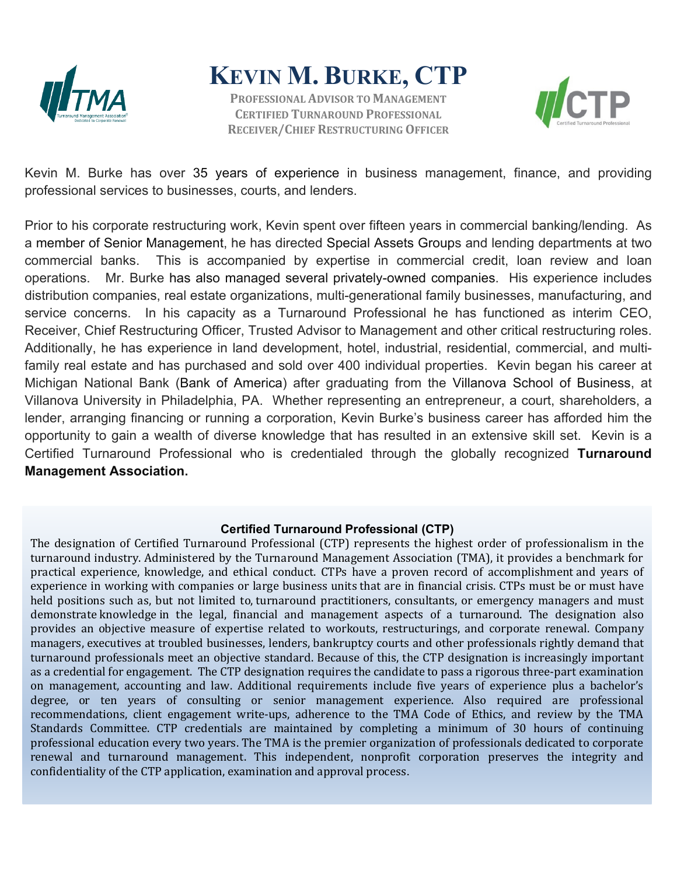

## **KEVIN M. BURKE, CTP**

**PROFESSIONAL ADVISOR TO MANAGEMENT CERTIFIED TURNAROUND PROFESSIONAL RECEIVER/CHIEF RESTRUCTURING OFFICER**



Kevin M. Burke has over 35 years of experience in business management, finance, and providing professional services to businesses, courts, and lenders.

Prior to his corporate restructuring work, Kevin spent over fifteen years in commercial banking/lending. As a member of Senior Management, he has directed Special Assets Groups and lending departments at two commercial banks. This is accompanied by expertise in commercial credit, loan review and loan operations. Mr. Burke has also managed several privately-owned companies. His experience includes distribution companies, real estate organizations, multi-generational family businesses, manufacturing, and service concerns. In his capacity as a Turnaround Professional he has functioned as interim CEO, Receiver, Chief Restructuring Officer, Trusted Advisor to Management and other critical restructuring roles. Additionally, he has experience in land development, hotel, industrial, residential, commercial, and multifamily real estate and has purchased and sold over 400 individual properties. Kevin began his career at Michigan National Bank (Bank of America) after graduating from the Villanova School of Business, at Villanova University in Philadelphia, PA. Whether representing an entrepreneur, a court, shareholders, a lender, arranging financing or running a corporation, Kevin Burke's business career has afforded him the opportunity to gain a wealth of diverse knowledge that has resulted in an extensive skill set. Kevin is a Certified Turnaround Professional who is credentialed through the globally recognized **Turnaround Management Association.** 

### **Certified Turnaround Professional (CTP)**

The designation of Certified Turnaround Professional (CTP) represents the highest order of professionalism in the turnaround industry. Administered by the Turnaround Management Association (TMA), it provides a benchmark for practical experience, knowledge, and ethical conduct. CTPs have a proven record of accomplishment and years of experience in working with companies or large business units that are in financial crisis. CTPs must be or must have held positions such as, but not limited to, turnaround practitioners, consultants, or emergency managers and must demonstrate knowledge in the legal, financial and management aspects of a turnaround. The designation also provides an objective measure of expertise related to workouts, restructurings, and corporate renewal. Company managers, executives at troubled businesses, lenders, bankruptcy courts and other professionals rightly demand that turnaround professionals meet an objective standard. Because of this, the CTP designation is increasingly important as a credential for engagement. The CTP designation requires the candidate to pass a rigorous three-part examination on management, accounting and law. Additional requirements include five years of experience plus a bachelor's degree, or ten years of consulting or senior management experience. Also required are professional recommendations, client engagement write-ups, adherence to the TMA Code of Ethics, and review by the TMA Standards Committee. CTP credentials are maintained by completing a minimum of 30 hours of continuing professional education every two years. The TMA is the premier organization of professionals dedicated to corporate renewal and turnaround management. This independent, nonprofit corporation preserves the integrity and confidentiality of the CTP application, examination and approval process.